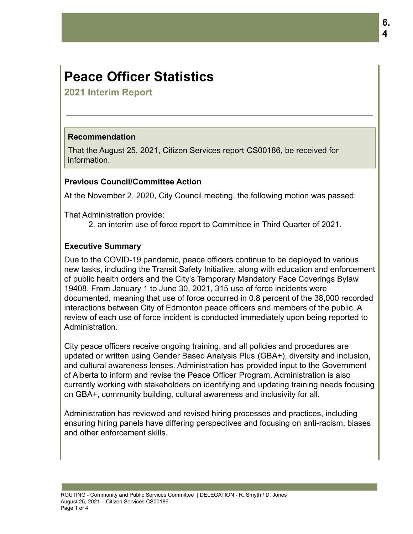# **Peace Officer Statistics**

**2021 Interim Report**

# **Recommendation**

That the August 25, 2021, Citizen Services report CS00186, be received for information.

# **Previous Council/Committee Action**

At the November 2, 2020, City Council meeting, the following motion was passed:

That Administration provide:

2. an interim use of force report to Committee in Third Quarter of 2021.

# **Executive Summary**

Due to the COVID-19 pandemic, peace officers continue to be deployed to various new tasks, including the Transit Safety Initiative, along with education and enforcement of public health orders and the City's Temporary Mandatory Face Coverings Bylaw 19408. From January 1 to June 30, 2021, 315 use of force incidents were documented, meaning that use of force occurred in 0.8 percent of the 38,000 recorded interactions between City of Edmonton peace officers and members of the public. A review of each use of force incident is conducted immediately upon being reported to Administration.

City peace officers receive ongoing training, and all policies and procedures are updated or written using Gender Based Analysis Plus (GBA+), diversity and inclusion, and cultural awareness lenses. Administration has provided input to the Government of Alberta to inform and revise the Peace Officer Program. Administration is also currently working with stakeholders on identifying and updating training needs focusing on GBA+, community building, cultural awareness and inclusivity for all.

Administration has reviewed and revised hiring processes and practices, including ensuring hiring panels have differing perspectives and focusing on anti-racism, biases and other enforcement skills.

**6. 4**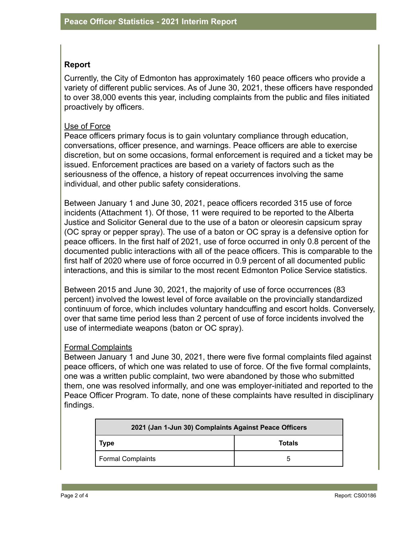### **Report**

Currently, the City of Edmonton has approximately 160 peace officers who provide a variety of different public services. As of June 30, 2021, these officers have responded to over 38,000 events this year, including complaints from the public and files initiated proactively by officers.

#### Use of Force

Peace officers primary focus is to gain voluntary compliance through education, conversations, officer presence, and warnings. Peace officers are able to exercise discretion, but on some occasions, formal enforcement is required and a ticket may be issued. Enforcement practices are based on a variety of factors such as the seriousness of the offence, a history of repeat occurrences involving the same individual, and other public safety considerations.

Between January 1 and June 30, 2021, peace officers recorded 315 use of force incidents (Attachment 1). Of those, 11 were required to be reported to the Alberta Justice and Solicitor General due to the use of a baton or oleoresin capsicum spray (OC spray or pepper spray). The use of a baton or OC spray is a defensive option for peace officers. In the first half of 2021, use of force occurred in only 0.8 percent of the documented public interactions with all of the peace officers. This is comparable to the first half of 2020 where use of force occurred in 0.9 percent of all documented public interactions, and this is similar to the most recent Edmonton Police Service statistics.

Between 2015 and June 30, 2021, the majority of use of force occurrences (83 percent) involved the lowest level of force available on the provincially standardized continuum of force, which includes voluntary handcuffing and escort holds. Conversely, over that same time period less than 2 percent of use of force incidents involved the use of intermediate weapons (baton or OC spray).

#### Formal Complaints

Between January 1 and June 30, 2021, there were five formal complaints filed against peace officers, of which one was related to use of force. Of the five formal complaints, one was a written public complaint, two were abandoned by those who submitted them, one was resolved informally, and one was employer-initiated and reported to the Peace Officer Program. To date, none of these complaints have resulted in disciplinary findings.

| 2021 (Jan 1-Jun 30) Complaints Against Peace Officers |               |  |
|-------------------------------------------------------|---------------|--|
| <b>Type</b>                                           | <b>Totals</b> |  |
| <b>Formal Complaints</b>                              | 5             |  |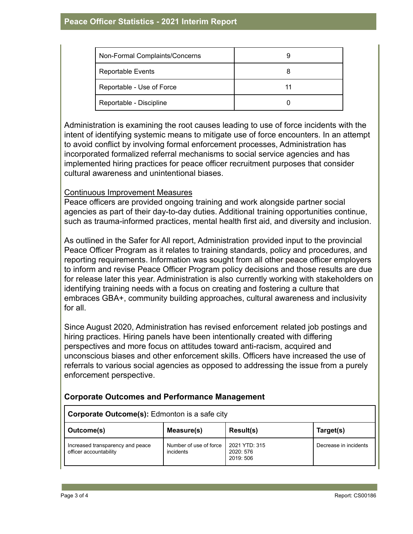| Non-Formal Complaints/Concerns |  |
|--------------------------------|--|
| <b>Reportable Events</b>       |  |
| Reportable - Use of Force      |  |
| Reportable - Discipline        |  |

Administration is examining the root causes leading to use of force incidents with the intent of identifying systemic means to mitigate use of force encounters. In an attempt to avoid conflict by involving formal enforcement processes, Administration has incorporated formalized referral mechanisms to social service agencies and has implemented hiring practices for peace officer recruitment purposes that consider cultural awareness and unintentional biases.

### Continuous Improvement Measures

Peace officers are provided ongoing training and work alongside partner social agencies as part of their day-to-day duties. Additional training opportunities continue, such as trauma-informed practices, mental health first aid, and diversity and inclusion.

As outlined in the Safer for All report, Administration provided input to the provincial Peace Officer Program as it relates to training standards, policy and procedures, and reporting requirements. Information was sought from all other peace officer employers to inform and revise Peace Officer Program policy decisions and those results are due for release later this year. Administration is also currently working with stakeholders on identifying training needs with a focus on creating and fostering a culture that embraces GBA+, community building approaches, cultural awareness and inclusivity for all.

Since August 2020, Administration has revised enforcement related job postings and hiring practices. Hiring panels have been intentionally created with differing perspectives and more focus on attitudes toward anti-racism, acquired and unconscious biases and other enforcement skills. Officers have increased the use of referrals to various social agencies as opposed to addressing the issue from a purely enforcement perspective.

## **Corporate Outcomes and Performance Management**

| <b>Corporate Outcome(s):</b> Edmonton is a safe city       |                                     |                                         |                       |  |
|------------------------------------------------------------|-------------------------------------|-----------------------------------------|-----------------------|--|
| Outcome(s)                                                 | Measure(s)                          | <b>Result(s)</b>                        | Target(s)             |  |
| Increased transparency and peace<br>officer accountability | Number of use of force<br>incidents | 2021 YTD: 315<br>2020: 576<br>2019: 506 | Decrease in incidents |  |